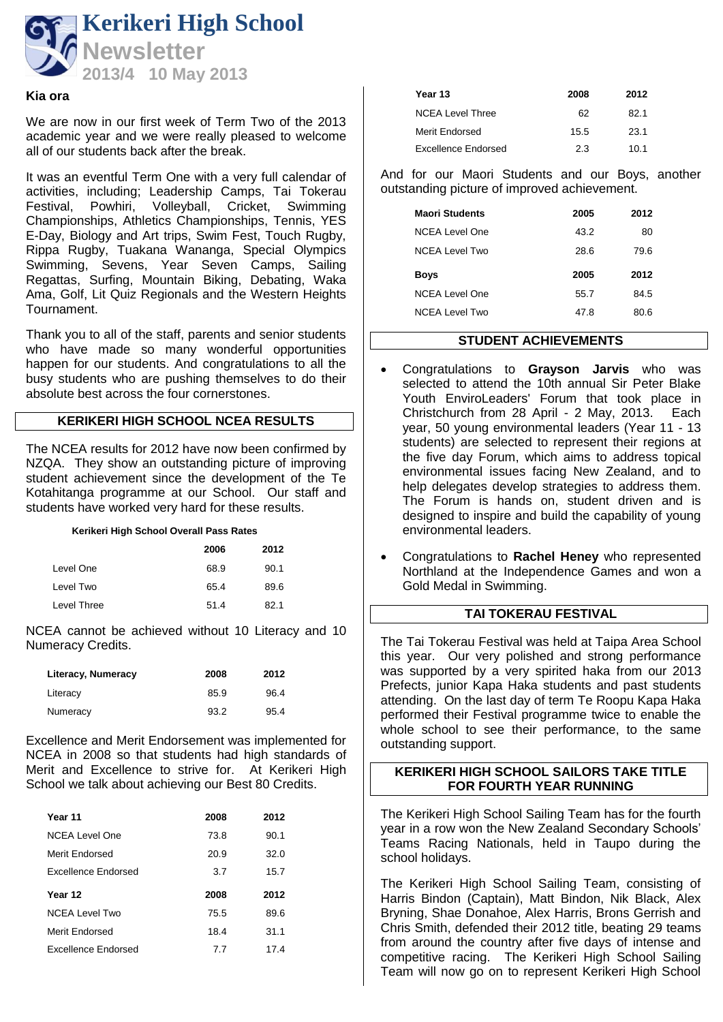

#### **Kia ora**

We are now in our first week of Term Two of the 2013 academic year and we were really pleased to welcome all of our students back after the break.

It was an eventful Term One with a very full calendar of activities, including; Leadership Camps, Tai Tokerau Festival, Powhiri, Volleyball, Cricket, Swimming Championships, Athletics Championships, Tennis, YES E-Day, Biology and Art trips, Swim Fest, Touch Rugby, Rippa Rugby, Tuakana Wananga, Special Olympics Swimming, Sevens, Year Seven Camps, Sailing Regattas, Surfing, Mountain Biking, Debating, Waka Ama, Golf, Lit Quiz Regionals and the Western Heights Tournament.

Thank you to all of the staff, parents and senior students who have made so many wonderful opportunities happen for our students. And congratulations to all the busy students who are pushing themselves to do their absolute best across the four cornerstones.

# **KERIKERI HIGH SCHOOL NCEA RESULTS**

The NCEA results for 2012 have now been confirmed by NZQA. They show an outstanding picture of improving student achievement since the development of the Te Kotahitanga programme at our School. Our staff and students have worked very hard for these results.

#### **Kerikeri High School Overall Pass Rates**

|             | 2006 | 2012 |
|-------------|------|------|
| Level One   | 68.9 | 90.1 |
| Level Two   | 65.4 | 89.6 |
| Level Three | 51.4 | 82.1 |

NCEA cannot be achieved without 10 Literacy and 10 Numeracy Credits.

| Literacy, Numeracy | 2008 | 2012 |
|--------------------|------|------|
| Literacy           | 85.9 | 96.4 |
| Numeracy           | 93.2 | 95.4 |

Excellence and Merit Endorsement was implemented for NCEA in 2008 so that students had high standards of Merit and Excellence to strive for. At Kerikeri High School we talk about achieving our Best 80 Credits.

| Year 11                    | 2008 | 2012 |
|----------------------------|------|------|
| NCEA Level One             | 73.8 | 90.1 |
| Merit Endorsed             | 20.9 | 32.0 |
| <b>Fxcellence Endorsed</b> | 3.7  | 15.7 |
|                            |      |      |
| Year 12                    | 2008 | 2012 |
| NCFA Level Two             | 75.5 | 89.6 |
| Merit Endorsed             | 18.4 | 31.1 |

| Year 13                 | 2008 | 2012 |
|-------------------------|------|------|
| <b>NCEA Level Three</b> | 62   | 82.1 |
| Merit Endorsed          | 15.5 | 23.1 |
| Excellence Endorsed     | 2.3  | 10.1 |

And for our Maori Students and our Boys, another outstanding picture of improved achievement.

| <b>Maori Students</b> | 2005 | 2012 |
|-----------------------|------|------|
| NCFA Level One        | 43.2 | 80   |
| <b>NCEA Level Two</b> | 28.6 | 79.6 |
|                       |      |      |
| <b>Boys</b>           | 2005 | 2012 |
| NCFA Level One        | 55.7 | 84.5 |

# **STUDENT ACHIEVEMENTS**

- Congratulations to **Grayson Jarvis** who was selected to attend the 10th annual Sir Peter Blake Youth EnviroLeaders' Forum that took place in Christchurch from 28 April - 2 May, 2013. Each year, 50 young environmental leaders (Year 11 - 13 students) are selected to represent their regions at the five day Forum, which aims to address topical environmental issues facing New Zealand, and to help delegates develop strategies to address them. The Forum is hands on, student driven and is designed to inspire and build the capability of young environmental leaders.
- Congratulations to **Rachel Heney** who represented Northland at the Independence Games and won a Gold Medal in Swimming.

# **TAI TOKERAU FESTIVAL**

The Tai Tokerau Festival was held at Taipa Area School this year. Our very polished and strong performance was supported by a very spirited haka from our 2013 Prefects, junior Kapa Haka students and past students attending. On the last day of term Te Roopu Kapa Haka performed their Festival programme twice to enable the whole school to see their performance, to the same outstanding support.

#### **KERIKERI HIGH SCHOOL SAILORS TAKE TITLE FOR FOURTH YEAR RUNNING**

The Kerikeri High School Sailing Team has for the fourth year in a row won the New Zealand Secondary Schools' Teams Racing Nationals, held in Taupo during the school holidays.

The Kerikeri High School Sailing Team, consisting of Harris Bindon (Captain), Matt Bindon, Nik Black, Alex Bryning, Shae Donahoe, Alex Harris, Brons Gerrish and Chris Smith, defended their 2012 title, beating 29 teams from around the country after five days of intense and competitive racing. The Kerikeri High School Sailing Team will now go on to represent Kerikeri High School